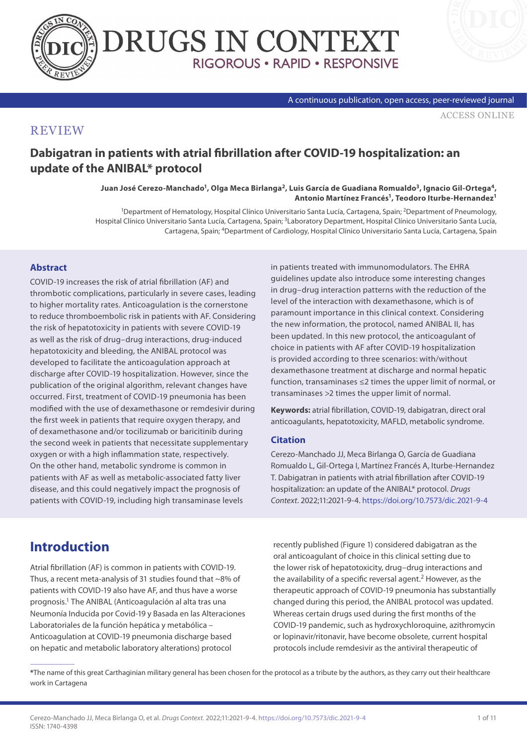



#### A continuous publication, open access, peer-reviewed journal

[ACCESS ONLINE](https://www.drugsincontext.com/dabigatran-in-patients-with-atrial-fibrillation-after-covid-19-hospitalization-an-update-of-the-anibal-protocol)

#### **REVIEW**

### **Dabigatran in patients with atrial fibrillation after COVID-19 hospitalization: an update of the ANIBAL\* protocol**

**Juan José Cerezo-Manchado1, Olga Meca Birlanga2, Luis García de Guadiana Romualdo3, Ignacio Gil-Ortega4, Antonio Martínez Francés1, Teodoro Iturbe-Hernandez1**

<sup>1</sup>Department of Hematology, Hospital Clínico Universitario Santa Lucía, Cartagena, Spain; <sup>2</sup>Department of Pneumology, Hospital Clínico Universitario Santa Lucía, Cartagena, Spain; 3Laboratory Department, Hospital Clínico Universitario Santa Lucía, Cartagena, Spain; 4Department of Cardiology, Hospital Clínico Universitario Santa Lucía, Cartagena, Spain

#### **Abstract**

COVID-19 increases the risk of atrial fibrillation (AF) and thrombotic complications, particularly in severe cases, leading to higher mortality rates. Anticoagulation is the cornerstone to reduce thromboembolic risk in patients with AF. Considering the risk of hepatotoxicity in patients with severe COVID-19 as well as the risk of drug–drug interactions, drug-induced hepatotoxicity and bleeding, the ANIBAL protocol was developed to facilitate the anticoagulation approach at discharge after COVID-19 hospitalization. However, since the publication of the original algorithm, relevant changes have occurred. First, treatment of COVID-19 pneumonia has been modified with the use of dexamethasone or remdesivir during the first week in patients that require oxygen therapy, and of dexamethasone and/or tocilizumab or baricitinib during the second week in patients that necessitate supplementary oxygen or with a high inflammation state, respectively. On the other hand, metabolic syndrome is common in patients with AF as well as metabolic-associated fatty liver disease, and this could negatively impact the prognosis of patients with COVID-19, including high transaminase levels

in patients treated with immunomodulators. The EHRA guidelines update also introduce some interesting changes in drug–drug interaction patterns with the reduction of the level of the interaction with dexamethasone, which is of paramount importance in this clinical context. Considering the new information, the protocol, named ANIBAL II, has been updated. In this new protocol, the anticoagulant of choice in patients with AF after COVID-19 hospitalization is provided according to three scenarios: with/without dexamethasone treatment at discharge and normal hepatic function, transaminases ≤2 times the upper limit of normal, or transaminases >2 times the upper limit of normal.

**Keywords:** atrial fibrillation, COVID-19, dabigatran, direct oral anticoagulants, hepatotoxicity, MAFLD, metabolic syndrome.

#### **Citation**

Cerezo-Manchado JJ, Meca Birlanga O, García de Guadiana Romualdo L, Gil-Ortega I, Martínez Francés A, Iturbe-Hernandez T. Dabigatran in patients with atrial fibrillation after COVID-19 hospitalization: an update of the ANIBAL\* protocol. *Drugs Context*. 2022;11:2021-9-4.<https://doi.org/10.7573/dic.2021-9-4>

## **Introduction**

Atrial fibrillation (AF) is common in patients with COVID-19. Thus, a recent meta-analysis of 31 studies found that ~8% of patients with COVID-19 also have AF, and thus have a worse prognosis.1 The ANIBAL (Anticoagulación al alta tras una Neumonía Inducida por Covid-19 y Basada en las Alteraciones Laboratoriales de la función hepática y metabólica – Anticoagulation at COVID-19 pneumonia discharge based on hepatic and metabolic laboratory alterations) protocol

recently published (Figure 1) considered dabigatran as the oral anticoagulant of choice in this clinical setting due to the lower risk of hepatotoxicity, drug–drug interactions and the availability of a specific reversal agent.<sup>2</sup> However, as the therapeutic approach of COVID-19 pneumonia has substantially changed during this period, the ANIBAL protocol was updated. Whereas certain drugs used during the first months of the COVID-19 pandemic, such as hydroxychloroquine, azithromycin or lopinavir/ritonavir, have become obsolete, current hospital protocols include remdesivir as the antiviral therapeutic of

**<sup>\*</sup>**The name of this great Carthaginian military general has been chosen for the protocol as a tribute by the authors, as they carry out their healthcare work in Cartagena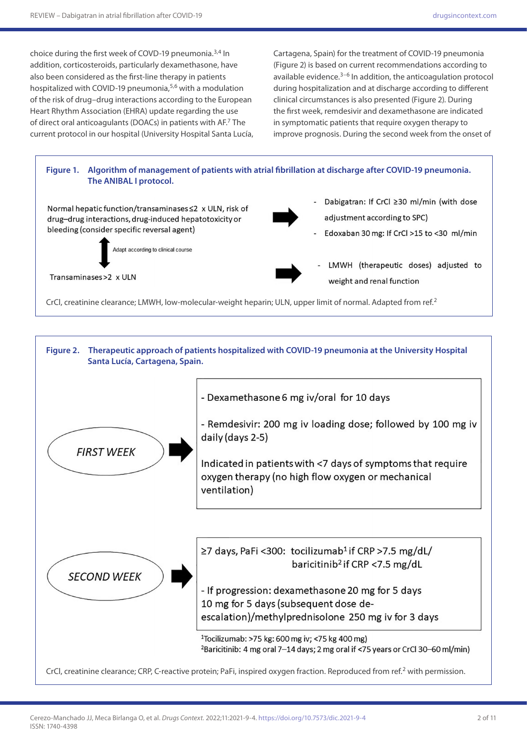choice during the first week of COVD-19 pneumonia.3,4 In addition, corticosteroids, particularly dexamethasone, have also been considered as the first-line therapy in patients hospitalized with COVID-19 pneumonia,<sup>5,6</sup> with a modulation of the risk of drug–drug interactions according to the European Heart Rhythm Association (EHRA) update regarding the use of direct oral anticoagulants (DOACs) in patients with AF.7 The current protocol in our hospital (University Hospital Santa Lucía, Cartagena, Spain) for the treatment of COVID-19 pneumonia (Figure 2) is based on current recommendations according to available evidence. $3-6$  In addition, the anticoagulation protocol during hospitalization and at discharge according to different clinical circumstances is also presented (Figure 2). During the first week, remdesivir and dexamethasone are indicated in symptomatic patients that require oxygen therapy to improve prognosis. During the second week from the onset of



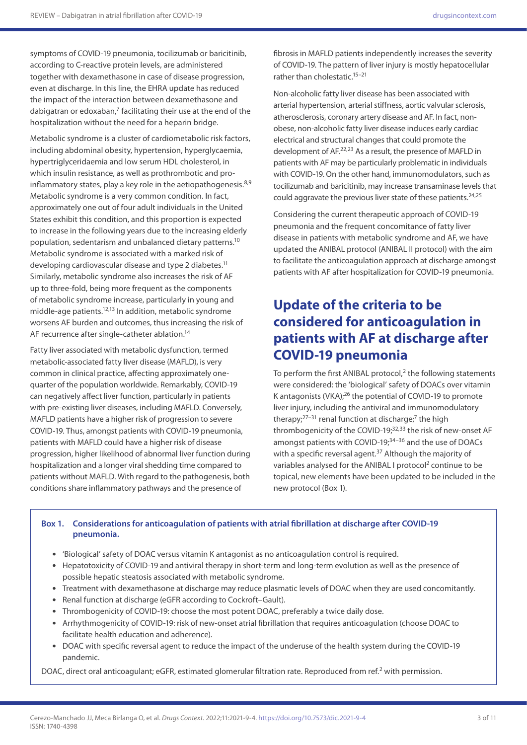symptoms of COVID-19 pneumonia, tocilizumab or baricitinib, according to C-reactive protein levels, are administered together with dexamethasone in case of disease progression, even at discharge. In this line, the EHRA update has reduced the impact of the interaction between dexamethasone and dabigatran or edoxaban, $7$  facilitating their use at the end of the hospitalization without the need for a heparin bridge.

Metabolic syndrome is a cluster of cardiometabolic risk factors, including abdominal obesity, hypertension, hyperglycaemia, hypertriglyceridaemia and low serum HDL cholesterol, in which insulin resistance, as well as prothrombotic and proinflammatory states, play a key role in the aetiopathogenesis.<sup>8,9</sup> Metabolic syndrome is a very common condition. In fact, approximately one out of four adult individuals in the United States exhibit this condition, and this proportion is expected to increase in the following years due to the increasing elderly population, sedentarism and unbalanced dietary patterns.10 Metabolic syndrome is associated with a marked risk of developing cardiovascular disease and type 2 diabetes.<sup>11</sup> Similarly, metabolic syndrome also increases the risk of AF up to three-fold, being more frequent as the components of metabolic syndrome increase, particularly in young and middle-age patients.12,13 In addition, metabolic syndrome worsens AF burden and outcomes, thus increasing the risk of AF recurrence after single-catheter ablation.<sup>14</sup>

Fatty liver associated with metabolic dysfunction, termed metabolic-associated fatty liver disease (MAFLD), is very common in clinical practice, affecting approximately onequarter of the population worldwide. Remarkably, COVID-19 can negatively affect liver function, particularly in patients with pre-existing liver diseases, including MAFLD. Conversely, MAFLD patients have a higher risk of progression to severe COVID-19. Thus, amongst patients with COVID-19 pneumonia, patients with MAFLD could have a higher risk of disease progression, higher likelihood of abnormal liver function during hospitalization and a longer viral shedding time compared to patients without MAFLD. With regard to the pathogenesis, both conditions share inflammatory pathways and the presence of

fibrosis in MAFLD patients independently increases the severity of COVID-19. The pattern of liver injury is mostly hepatocellular rather than cholestatic.15–21

Non-alcoholic fatty liver disease has been associated with arterial hypertension, arterial stiffness, aortic valvular sclerosis, atherosclerosis, coronary artery disease and AF. In fact, nonobese, non-alcoholic fatty liver disease induces early cardiac electrical and structural changes that could promote the development of AF.22,23 As a result, the presence of MAFLD in patients with AF may be particularly problematic in individuals with COVID-19. On the other hand, immunomodulators, such as tocilizumab and baricitinib, may increase transaminase levels that could aggravate the previous liver state of these patients. $24,25$ 

Considering the current therapeutic approach of COVID-19 pneumonia and the frequent concomitance of fatty liver disease in patients with metabolic syndrome and AF, we have updated the ANIBAL protocol (ANIBAL II protocol) with the aim to facilitate the anticoagulation approach at discharge amongst patients with AF after hospitalization for COVID-19 pneumonia.

# **Update of the criteria to be considered for anticoagulation in patients with AF at discharge after COVID-19 pneumonia**

To perform the first ANIBAL protocol,<sup>2</sup> the following statements were considered: the 'biological' safety of DOACs over vitamin K antagonists (VKA);26 the potential of COVID-19 to promote liver injury, including the antiviral and immunomodulatory therapy; $27-31$  renal function at discharge;<sup>7</sup> the high thrombogenicity of the COVID-19;<sup>32,33</sup> the risk of new-onset AF amongst patients with COVID-19:<sup>34–36</sup> and the use of DOACs with a specific reversal agent.<sup>37</sup> Although the majority of variables analysed for the ANIBAL I protocol<sup>2</sup> continue to be topical, new elements have been updated to be included in the new protocol (Box 1).

#### **Box 1. Considerations for anticoagulation of patients with atrial fibrillation at discharge after COVID-19 pneumonia.**

- • 'Biological' safety of DOAC versus vitamin K antagonist as no anticoagulation control is required.
- • Hepatotoxicity of COVID-19 and antiviral therapy in short-term and long-term evolution as well as the presence of possible hepatic steatosis associated with metabolic syndrome.
- Treatment with dexamethasone at discharge may reduce plasmatic levels of DOAC when they are used concomitantly.
- Renal function at discharge (eGFR according to Cockroft–Gault).
- • Thrombogenicity of COVID-19: choose the most potent DOAC, preferably a twice daily dose.
- • Arrhythmogenicity of COVID-19: risk of new-onset atrial fibrillation that requires anticoagulation (choose DOAC to facilitate health education and adherence).
- • DOAC with specific reversal agent to reduce the impact of the underuse of the health system during the COVID-19 pandemic.

DOAC, direct oral anticoagulant; eGFR, estimated glomerular filtration rate. Reproduced from ref.<sup>2</sup> with permission.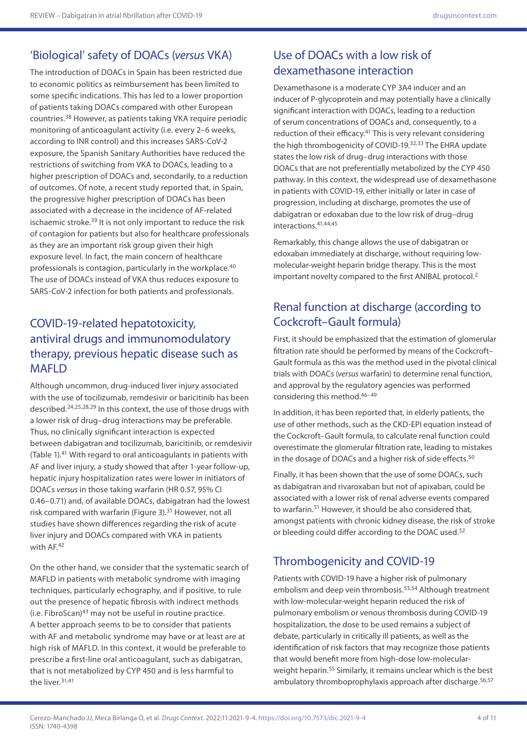# 'Biological' safety of DOACs (*versus* VKA)

The introduction of DOACs in Spain has been restricted due to economic politics as reimbursement has been limited to some specific indications. This has led to a lower proportion of patients taking DOACs compared with other European countries.38 However, as patients taking VKA require periodic monitoring of anticoagulant activity (i.e. every 2–6 weeks, according to INR control) and this increases SARS-CoV-2 exposure, the Spanish Sanitary Authorities have reduced the restrictions of switching from VKA to DOACs, leading to a higher prescription of DOACs and, secondarily, to a reduction of outcomes. Of note, a recent study reported that, in Spain, the progressive higher prescription of DOACs has been associated with a decrease in the incidence of AF-related ischaemic stroke.<sup>39</sup> It is not only important to reduce the risk of contagion for patients but also for healthcare professionals as they are an important risk group given their high exposure level. In fact, the main concern of healthcare professionals is contagion, particularly in the workplace.<sup>40</sup> The use of DOACs instead of VKA thus reduces exposure to SARS-CoV-2 infection for both patients and professionals.

## COVID-19-related hepatotoxicity, antiviral drugs and immunomodulatory therapy, previous hepatic disease such as **MAFLD**

Although uncommon, drug-induced liver injury associated with the use of tocilizumab, remdesivir or baricitinib has been described.24,25,28,29 In this context, the use of those drugs with a lower risk of drug–drug interactions may be preferable. Thus, no clinically significant interaction is expected between dabigatran and tocilizumab, baricitinib, or remdesivir (Table 1).41 With regard to oral anticoagulants in patients with AF and liver injury, a study showed that after 1-year follow-up, hepatic injury hospitalization rates were lower in initiators of DOACs *versus* in those taking warfarin (HR 0.57, 95% CI 0.46–0.71) and, of available DOACs, dabigatran had the lowest risk compared with warfarin (Figure 3). $31$  However, not all studies have shown differences regarding the risk of acute liver injury and DOACs compared with VKA in patients with AF.<sup>42</sup>

On the other hand, we consider that the systematic search of MAFLD in patients with metabolic syndrome with imaging techniques, particularly echography, and if positive, to rule out the presence of hepatic fibrosis with indirect methods  $(i.e. Fibonacci<sup>43</sup>$  may not be useful in routine practice. A better approach seems to be to consider that patients with AF and metabolic syndrome may have or at least are at high risk of MAFLD. In this context, it would be preferable to prescribe a first-line oral anticoagulant, such as dabigatran, that is not metabolized by CYP 450 and is less harmful to the liver.31,41

# Use of DOACs with a low risk of dexamethasone interaction

Dexamethasone is a moderate CYP 3A4 inducer and an inducer of P-glycoprotein and may potentially have a clinically significant interaction with DOACs, leading to a reduction of serum concentrations of DOACs and, consequently, to a reduction of their efficacy.<sup>41</sup> This is very relevant considering the high thrombogenicity of COVID-19.<sup>32,33</sup> The EHRA update states the low risk of drug–drug interactions with those DOACs that are not preferentially metabolized by the CYP 450 pathway. In this context, the widespread use of dexamethasone in patients with COVID-19, either initially or later in case of progression, including at discharge, promotes the use of dabigatran or edoxaban due to the low risk of drug–drug interactions.41,44,45

Remarkably, this change allows the use of dabigatran or edoxaban immediately at discharge, without requiring lowmolecular-weight heparin bridge therapy. This is the most important novelty compared to the first ANIBAL protocol.<sup>2</sup>

# Renal function at discharge (according to Cockcroft–Gault formula)

First, it should be emphasized that the estimation of glomerular filtration rate should be performed by means of the Cockcroft– Gault formula as this was the method used in the pivotal clinical trials with DOACs (*versus* warfarin) to determine renal function, and approval by the regulatory agencies was performed considering this method.46–49

In addition, it has been reported that, in elderly patients, the use of other methods, such as the CKD-EPI equation instead of the Cockcroft–Gault formula, to calculate renal function could overestimate the glomerular filtration rate, leading to mistakes in the dosage of DOACs and a higher risk of side effects.<sup>50</sup>

Finally, it has been shown that the use of some DOACs, such as dabigatran and rivaroxaban but not of apixaban, could be associated with a lower risk of renal adverse events compared to warfarin.<sup>51</sup> However, it should be also considered that, amongst patients with chronic kidney disease, the risk of stroke or bleeding could differ according to the DOAC used.<sup>52</sup>

# Thrombogenicity and COVID-19

Patients with COVID-19 have a higher risk of pulmonary embolism and deep vein thrombosis.<sup>53,54</sup> Although treatment with low-molecular-weight heparin reduced the risk of pulmonary embolism or venous thrombosis during COVID-19 hospitalization, the dose to be used remains a subject of debate, particularly in critically ill patients, as well as the identification of risk factors that may recognize those patients that would benefit more from high-dose low-molecularweight heparin.<sup>55</sup> Similarly, it remains unclear which is the best ambulatory thromboprophylaxis approach after discharge.<sup>56,57</sup>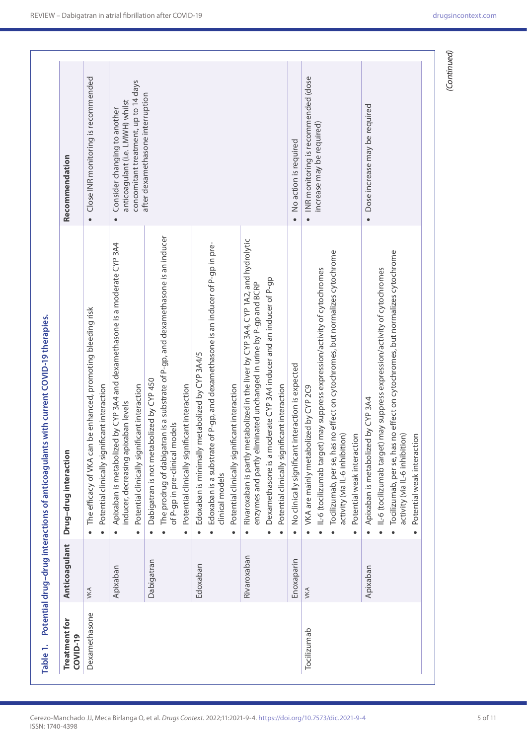| Treatment for<br>COVID-19 | Anticoagulant | Drug-drug interaction                                                                                                                                                                                                                                                                      | Recommendation                                                                                                        |
|---------------------------|---------------|--------------------------------------------------------------------------------------------------------------------------------------------------------------------------------------------------------------------------------------------------------------------------------------------|-----------------------------------------------------------------------------------------------------------------------|
| Dexamethasone             | VKA           | The efficacy of VKA can be enhanced, promoting bleeding risk<br>Potential clinically significant interaction<br>$\bullet$                                                                                                                                                                  | Close INR monitoring is recommended<br>$\bullet$                                                                      |
|                           | Apixaban      | Apixaban is metabolized by CYP 3A4 and dexamethasone is a moderate CYP 3A4<br>Potential clinically significant interaction<br>inducer, decreasing apixaban levels                                                                                                                          | concomitant treatment, up to 14 days<br>anticoagulant (i.e. LMWH) whilst<br>Consider changing to another<br>$\bullet$ |
|                           | Dabigatran    | The prodrug of dabigatran is a substrate of P-gp, and dexamethasone is an inducer<br>Dabigatran is not metabolized by CYP 450<br>Potential clinically significant interaction<br>of P-gp in pre-clinical models                                                                            | after dexamethasone interruption                                                                                      |
|                           | Edoxaban      | Edoxaban is a substrate of P-gp, and dexamethasone is an inducer of P-gp in pre-<br>Edoxaban is minimally metabolized by CYP 3A4/5<br>Potential clinically significant interaction<br>clinical models                                                                                      |                                                                                                                       |
|                           | Rivaroxaban   | Rivaroxaban is partly metabolized in the liver by CYP 3A4, CYP 1A2, and hydrolytic<br>Dexamethasone is a moderate CYP 3A4 inducer and an inducer of P-gp<br>enzymes and partly eliminated unchanged in urine by P-gp and BCRP<br>Potential clinically significant interaction<br>$\bullet$ |                                                                                                                       |
|                           | Enoxaparin    | No clinically significant interaction is expected                                                                                                                                                                                                                                          | No action is required                                                                                                 |
| Tocilizumab               | VKA           | Tocilizumab, per se, has no effect on cytochromes, but normalizes cytochrome<br>IL-6 (to cilizumab target) may suppress expression/activity of cytochromes<br>VKA are mainly metabolized by CYP 2C9<br>activity (via IL-6 inhibition)<br>Potential weak interaction                        | INR monitoring is recommended (dose<br>increase may be required)                                                      |
|                           | Apixaban      | Tocilizumab, per se, has no effect on cytochromes, but normalizes cytochrome<br>· IL-6 (to cilizumab target) may suppress expression/activity of cytochromes<br>Apixaban is metabolized by CYP 3A4<br>activity (via IL-6 inhibition)<br>Potential weak interaction                         | Dose increase may be required<br>$\bullet$                                                                            |

### Cerezo-Manchado JJ, Meca Birlanga O, et al. *Drugs Context.* 2022;11:2021-9-4.<https://doi.org/10.7573/dic.2021-9-4> 5 of 11 ISSN: 1740-4398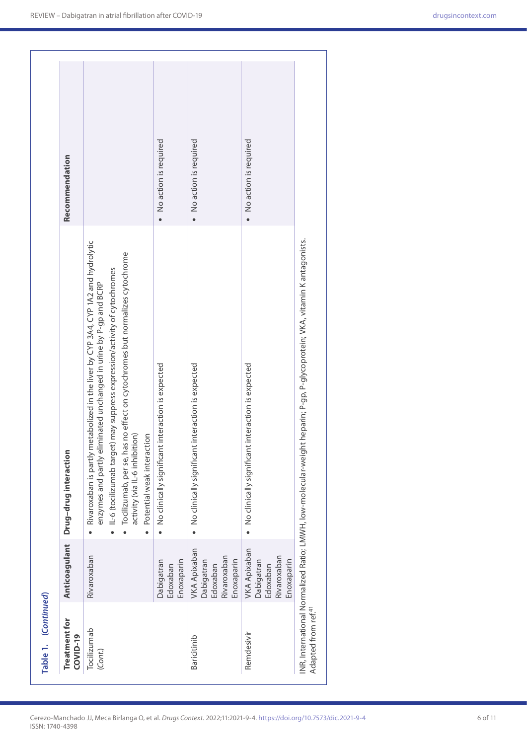| Table 1. (Continued)             |                                                                            |                                                                                                                                                                                                                                                                                                                                                                                         |                       |
|----------------------------------|----------------------------------------------------------------------------|-----------------------------------------------------------------------------------------------------------------------------------------------------------------------------------------------------------------------------------------------------------------------------------------------------------------------------------------------------------------------------------------|-----------------------|
| <b>Treatment for</b><br>COVID-19 | Anticoagulant                                                              | Drug-drug interaction                                                                                                                                                                                                                                                                                                                                                                   | Recommendation        |
| Tocilizumab<br>(Cont.)           | Rivaroxaban                                                                | partly metabolized in the liver by CYP 3A4, CYP 1A2 and hydrolytic<br>Tocilizumab, per se, has no effect on cytochromes but normalizes cytochrome<br>· IL-6 (tocilizumab target) may suppress expression/activity of cytochromes<br>enzymes and partly eliminated unchanged in urine by P-gp and BCRP<br>activity (via IL-6 inhibition)<br>Potential weak interaction<br>Rivaroxaban is |                       |
|                                  | Dabigatran<br>Enoxaparin<br>Edoxaban                                       | • No clinically significant interaction is expected                                                                                                                                                                                                                                                                                                                                     | No action is required |
| Baricitinib                      | <b>VKA Apixaban</b><br>Rivaroxaban<br>Enoxaparin<br>Dabigatran<br>Edoxaban | No clinically significant interaction is expected                                                                                                                                                                                                                                                                                                                                       | No action is required |
| Remdesivir                       | <b>VKA Apixaban</b><br>Rivaroxaban<br>Enoxaparin<br>Dabigatran<br>Edoxaban | No clinically significant interaction is expected                                                                                                                                                                                                                                                                                                                                       | No action is required |
| Adapted from ref. <sup>41</sup>  |                                                                            | INR, International Normalized Ratio; LMWH, low-molecular-weight heparin; P-gp, P-glycoprotein; VKA, vitamin K antagonists.                                                                                                                                                                                                                                                              |                       |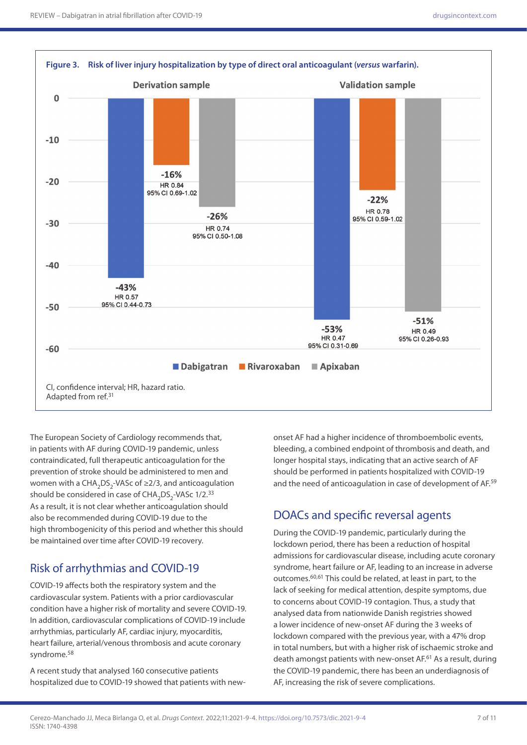

The European Society of Cardiology recommends that, in patients with AF during COVID-19 pandemic, unless contraindicated, full therapeutic anticoagulation for the prevention of stroke should be administered to men and women with a CHA<sub>2</sub>DS<sub>2</sub>-VASc of  $\geq$ 2/3, and anticoagulation should be considered in case of  $CHA<sub>2</sub>DS<sub>2</sub>-VASC$  1/2.<sup>33</sup> As a result, it is not clear whether anticoagulation should also be recommended during COVID-19 due to the high thrombogenicity of this period and whether this should be maintained over time after COVID-19 recovery.

#### Risk of arrhythmias and COVID-19

COVID-19 affects both the respiratory system and the cardiovascular system. Patients with a prior cardiovascular condition have a higher risk of mortality and severe COVID-19. In addition, cardiovascular complications of COVID-19 include arrhythmias, particularly AF, cardiac injury, myocarditis, heart failure, arterial/venous thrombosis and acute coronary syndrome.<sup>58</sup>

A recent study that analysed 160 consecutive patients hospitalized due to COVID-19 showed that patients with newonset AF had a higher incidence of thromboembolic events, bleeding, a combined endpoint of thrombosis and death, and longer hospital stays, indicating that an active search of AF should be performed in patients hospitalized with COVID-19 and the need of anticoagulation in case of development of AF.<sup>59</sup>

### DOACs and specific reversal agents

During the COVID-19 pandemic, particularly during the lockdown period, there has been a reduction of hospital admissions for cardiovascular disease, including acute coronary syndrome, heart failure or AF, leading to an increase in adverse outcomes.60,61 This could be related, at least in part, to the lack of seeking for medical attention, despite symptoms, due to concerns about COVID-19 contagion. Thus, a study that analysed data from nationwide Danish registries showed a lower incidence of new-onset AF during the 3 weeks of lockdown compared with the previous year, with a 47% drop in total numbers, but with a higher risk of ischaemic stroke and death amongst patients with new-onset AF.<sup>61</sup> As a result, during the COVID-19 pandemic, there has been an underdiagnosis of AF, increasing the risk of severe complications.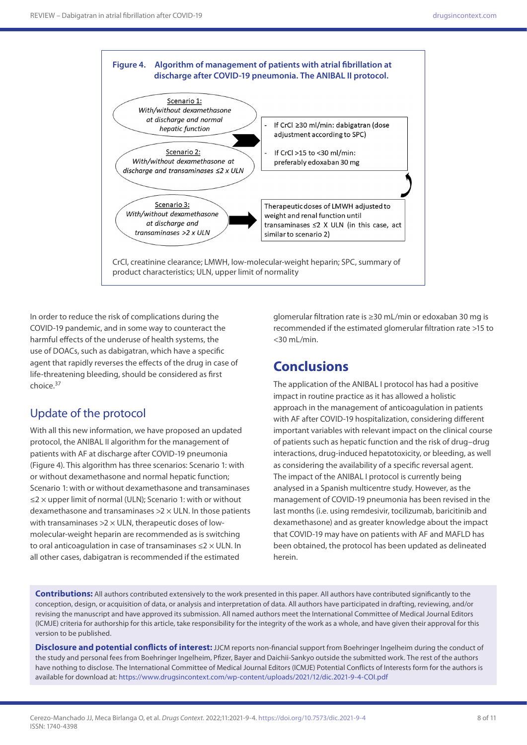

In order to reduce the risk of complications during the COVID-19 pandemic, and in some way to counteract the harmful effects of the underuse of health systems, the use of DOACs, such as dabigatran, which have a specific agent that rapidly reverses the effects of the drug in case of life-threatening bleeding, should be considered as first choice.37

### Update of the protocol

With all this new information, we have proposed an updated protocol, the ANIBAL II algorithm for the management of patients with AF at discharge after COVID-19 pneumonia (Figure 4). This algorithm has three scenarios: Scenario 1: with or without dexamethasone and normal hepatic function; Scenario 1: with or without dexamethasone and transaminases ≤2 × upper limit of normal (ULN); Scenario 1: with or without dexamethasone and transaminases  $>2 \times$  ULN. In those patients with transaminases  $>2 \times$  ULN, therapeutic doses of lowmolecular-weight heparin are recommended as is switching to oral anticoagulation in case of transaminases  $\leq$  2  $\times$  ULN. In all other cases, dabigatran is recommended if the estimated

glomerular filtration rate is ≥30 mL/min or edoxaban 30 mg is recommended if the estimated glomerular filtration rate >15 to <30 mL/min.

## **Conclusions**

The application of the ANIBAL I protocol has had a positive impact in routine practice as it has allowed a holistic approach in the management of anticoagulation in patients with AF after COVID-19 hospitalization, considering different important variables with relevant impact on the clinical course of patients such as hepatic function and the risk of drug–drug interactions, drug-induced hepatotoxicity, or bleeding, as well as considering the availability of a specific reversal agent. The impact of the ANIBAL I protocol is currently being analysed in a Spanish multicentre study. However, as the management of COVID-19 pneumonia has been revised in the last months (i.e. using remdesivir, tocilizumab, baricitinib and dexamethasone) and as greater knowledge about the impact that COVID-19 may have on patients with AF and MAFLD has been obtained, the protocol has been updated as delineated herein.

**Contributions:** All authors contributed extensively to the work presented in this paper. All authors have contributed significantly to the conception, design, or acquisition of data, or analysis and interpretation of data. All authors have participated in drafting, reviewing, and/or revising the manuscript and have approved its submission. All named authors meet the International Committee of Medical Journal Editors (ICMJE) criteria for authorship for this article, take responsibility for the integrity of the work as a whole, and have given their approval for this version to be published.

**Disclosure and potential conflicts of interest:** JJCM reports non-financial support from Boehringer Ingelheim during the conduct of the study and personal fees from Boehringer Ingelheim, Pfizer, Bayer and Daichii-Sankyo outside the submitted work. The rest of the authors have nothing to disclose. The International Committee of Medical Journal Editors (ICMJE) Potential Conflicts of Interests form for the authors is available for download at:<https://www.drugsincontext.com/wp-content/uploads/2021/12/dic.2021-9-4-COI.pdf>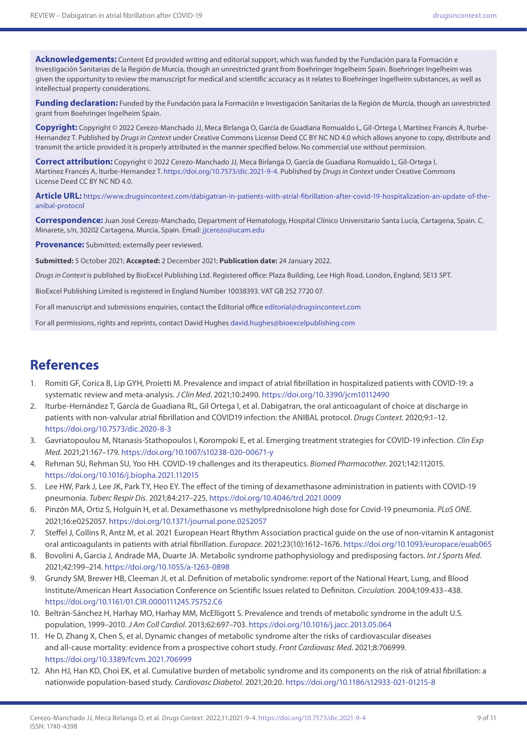**Acknowledgements:** Content Ed provided writing and editorial support, which was funded by the Fundación para la Formación e Investigación Sanitarias de la Región de Murcia, though an unrestricted grant from Boehringer Ingelheim Spain. Boehringer Ingelheim was given the opportunity to review the manuscript for medical and scientific accuracy as it relates to Boehringer Ingelheim substances, as well as intellectual property considerations.

**Funding declaration:** Funded by the Fundación para la Formación e Investigación Sanitarias de la Región de Murcia, though an unrestricted grant from Boehringer Ingelheim Spain.

**Copyright:** Copyright © 2022 Cerezo-Manchado JJ, Meca Birlanga O, García de Guadiana Romualdo L, Gil-Ortega I, Martínez Francés A, Iturbe-Hernandez T. Published by *Drugs in Context* under Creative Commons License Deed CC BY NC ND 4.0 which allows anyone to copy, distribute and transmit the article provided it is properly attributed in the manner specified below. No commercial use without permission.

**Correct attribution:** Copyright © 2022 Cerezo-Manchado JJ, Meca Birlanga O, García de Guadiana Romualdo L, Gil-Ortega I, Martínez Francés A, Iturbe-Hernandez T. <https://doi.org/10.7573/dic.2021-9-4>. Published by *Drugs in Context* under Creative Commons License Deed CC BY NC ND 4.0.

**Article URL:** [https://www.drugsincontext.com/dabigatran-in-patients-with-atrial-fibrillation-after-covid-19-hospitalization-an-update-of-the](https://www.drugsincontext.com/dabigatran-in-patients-with-atrial-fibrillation-after-covid-19-hospitalization-an-update-of-the-anibal-protocol)[anibal-protocol](https://www.drugsincontext.com/dabigatran-in-patients-with-atrial-fibrillation-after-covid-19-hospitalization-an-update-of-the-anibal-protocol)

**Correspondence:** Juan José Cerezo-Manchado, Department of Hematology, Hospital Clínico Universitario Santa Lucía, Cartagena, Spain. C. Minarete, s/n, 30202 Cartagena, Murcia, Spain. Email: [jjcerezo@ucam.edu](mailto:jjcerezo@ucam.edu)

**Provenance:** Submitted; externally peer reviewed.

**Submitted:** 5 October 2021; **Accepted:** 2 December 2021; **Publication date:** 24 January 2022.

*Drugs in Context* is published by BioExcel Publishing Ltd. Registered office: Plaza Building, Lee High Road, London, England, SE13 5PT.

BioExcel Publishing Limited is registered in England Number 10038393. VAT GB 252 7720 07.

For all manuscript and submissions enquiries, contact the Editorial office [editorial@drugsincontext.com](mailto:editorial@drugsincontext.com)

For all permissions, rights and reprints, contact David Hughes [david.hughes@bioexcelpublishing.com](mailto:david.hughes@bioexcelpublishing.com)

## **References**

- 1. Romiti GF, Corica B, Lip GYH, Proietti M. Prevalence and impact of atrial fibrillation in hospitalized patients with COVID-19: a systematic review and meta-analysis. *J Clin Med*. 2021;10:2490. <https://doi.org/10.3390/jcm10112490>
- 2. Iturbe-Hernández T, García de Guadiana RL, Gil Ortega I, et al. Dabigatran, the oral anticoagulant of choice at discharge in patients with non-valvular atrial fibrillation and COVID19 infection: the ANIBAL protocol. *Drugs Context*. 2020;9:1–12. https://[doi.org/10.7573/dic.2020-8-3](https://doi.org/10.7573/dic.2020-8-3)
- 3. Gavriatopoulou M, Ntanasis-Stathopoulos I, Korompoki E, et al. Emerging treatment strategies for COVID-19 infection. *Clin Exp Med*. 2021;21:167–179.<https://doi.org/10.1007/s10238-020-00671-y>
- 4. Rehman SU, Rehman SU, Yoo HH. COVID-19 challenges and its therapeutics. *Biomed Pharmacother*. 2021;142:112015. <https://doi.org/10.1016/j.biopha.2021.112015>
- 5. Lee HW, Park J, Lee JK, Park TY, Heo EY. The effect of the timing of dexamethasone administration in patients with COVID-19 pneumonia. *Tuberc Respir Dis*. 2021;84:217–225. <https://doi.org/10.4046/trd.2021.0009>
- 6. Pinzón MA, Ortiz S, Holguín H, et al. Dexamethasone vs methylprednisolone high dose for Covid-19 pneumonia. *PLoS ONE*. 2021;16:e0252057.<https://doi.org/10.1371/journal.pone.0252057>
- 7. Steffel J, Collins R, Antz M, et al. 2021 European Heart Rhythm Association practical guide on the use of non-vitamin K antagonist oral anticoagulants in patients with atrial fibrillation. *Europace*. 2021;23(10):1612–1676.<https://doi.org/10.1093/europace/euab065>
- 8. Bovolini A, Garcia J, Andrade MA, Duarte JA. Metabolic syndrome pathophysiology and predisposing factors. *Int J Sports Med*. 2021;42:199–214.<https://doi.org/10.1055/a-1263-0898>
- 9. Grundy SM, Brewer HB, Cleeman JI, et al. Definition of metabolic syndrome: report of the National Heart, Lung, and Blood Institute/American Heart Association Conference on Scientific Issues related to Definiton. *Circulation*. 2004;109:433–438. <https://doi.org/10.1161/01.CIR.0000111245.75752.C6>
- 10. Beltrán-Sánchez H, Harhay MO, Harhay MM, McElligott S. Prevalence and trends of metabolic syndrome in the adult U.S. population, 1999–2010. *J Am Coll Cardiol*. 2013;62:697–703.<https://doi.org/10.1016/j.jacc.2013.05.064>
- 11. He D, Zhang X, Chen S, et al. Dynamic changes of metabolic syndrome alter the risks of cardiovascular diseases and all-cause mortality: evidence from a prospective cohort study. *Front Cardiovasc Med*. 2021;8:706999. <https://doi.org/10.3389/fcvm.2021.706999>
- 12. Ahn HJ, Han KD, Choi EK, et al. Cumulative burden of metabolic syndrome and its components on the risk of atrial fibrillation: a nationwide population-based study. *Cardiovasc Diabetol*. 2021;20:20. <https://doi.org/10.1186/s12933-021-01215-8>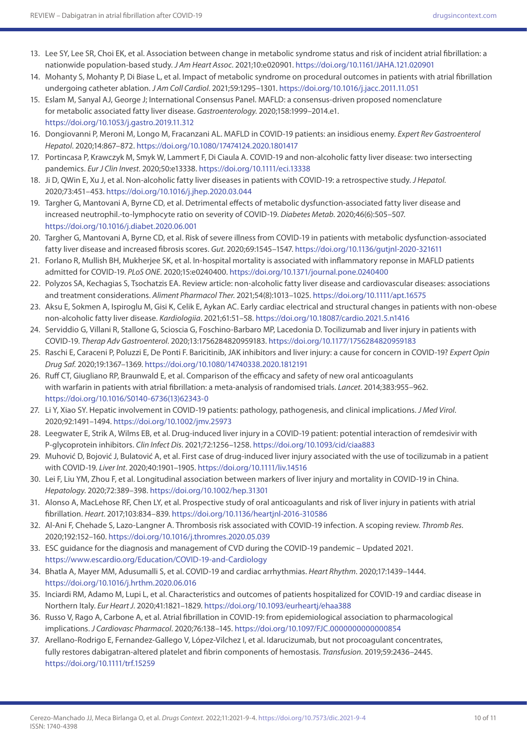- 13. Lee SY, Lee SR, Choi EK, et al. Association between change in metabolic syndrome status and risk of incident atrial fibrillation: a nationwide population-based study. *J Am Heart Assoc*. 2021;10:e020901.<https://doi.org/10.1161/JAHA.121.020901>
- 14. Mohanty S, Mohanty P, Di Biase L, et al. Impact of metabolic syndrome on procedural outcomes in patients with atrial fibrillation undergoing catheter ablation. *J Am Coll Cardiol*. 2021;59:1295–1301. <https://doi.org/10.1016/j.jacc.2011.11.051>
- 15. Eslam M, Sanyal AJ, George J; International Consensus Panel. MAFLD: a consensus-driven proposed nomenclature for metabolic associated fatty liver disease. *Gastroenterology*. 2020;158:1999–2014.e1. <https://doi.org/10.1053/j.gastro.2019.11.312>
- 16. Dongiovanni P, Meroni M, Longo M, Fracanzani AL. MAFLD in COVID-19 patients: an insidious enemy. *Expert Rev Gastroenterol Hepatol*. 2020;14:867–872.<https://doi.org/10.1080/17474124.2020.1801417>
- 17. Portincasa P, Krawczyk M, Smyk W, Lammert F, Di Ciaula A. COVID-19 and non-alcoholic fatty liver disease: two intersecting pandemics. *Eur J Clin Invest*. 2020;50:e13338. <https://doi.org/10.1111/eci.13338>
- 18. Ji D, QWin E, Xu J, et al. Non-alcoholic fatty liver diseases in patients with COVID-19: a retrospective study. *J Hepatol*. 2020;73:451–453.<https://doi.org/10.1016/j.jhep.2020.03.044>
- 19. Targher G, Mantovani A, Byrne CD, et al. Detrimental effects of metabolic dysfunction-associated fatty liver disease and increased neutrophil.-to-lymphocyte ratio on severity of COVID-19. *Diabetes Metab*. 2020;46(6):505–507. <https://doi.org/10.1016/j.diabet.2020.06.001>
- 20. Targher G, Mantovani A, Byrne CD, et al. Risk of severe illness from COVID-19 in patients with metabolic dysfunction-associated fatty liver disease and increased fibrosis scores. *Gut*. 2020;69:1545–1547.<https://doi.org/10.1136/gutjnl-2020-321611>
- 21. Forlano R, Mullish BH, Mukherjee SK, et al. In-hospital mortality is associated with inflammatory reponse in MAFLD patients admitted for COVID-19. *PLoS ONE*. 2020;15:e0240400. <https://doi.org/10.1371/journal.pone.0240400>
- 22. Polyzos SA, Kechagias S, Tsochatzis EA. Review article: non-alcoholic fatty liver disease and cardiovascular diseases: associations and treatment considerations. *Aliment Pharmacol Ther*. 2021;54(8):1013–1025. <https://doi.org/10.1111/apt.16575>
- 23. Aksu E, Sokmen A, Ispiroglu M, Gisi K, Celik E, Aykan AC. Early cardiac electrical and structural changes in patients with non-obese non-alcoholic fatty liver disease. *Kardiologiia*. 2021;61:51–58. <https://doi.org/10.18087/cardio.2021.5.n1416>
- 24. Serviddio G, Villani R, Stallone G, Scioscia G, Foschino-Barbaro MP, Lacedonia D. Tocilizumab and liver injury in patients with COVID-19. *Therap Adv Gastroenterol*. 2020;13:1756284820959183. <https://doi.org/10.1177/1756284820959183>
- 25. Raschi E, Caraceni P, Poluzzi E, De Ponti F. Baricitinib, JAK inhibitors and liver injury: a cause for concern in COVID-19? *Expert Opin Drug Saf*. 2020;19:1367–1369. <https://doi.org/10.1080/14740338.2020.1812191>
- 26. Ruff CT, Giugliano RP, Braunwald E, et al. Comparison of the efficacy and safety of new oral anticoagulants with warfarin in patients with atrial fibrillation: a meta-analysis of randomised trials. *Lancet*. 2014;383:955–962. [https://doi.org/10.1016/S0140-6736\(13\)62343-0](https://doi.org/10.1016/S0140-6736(13)62343-0)
- 27. Li Y, Xiao SY. Hepatic involvement in COVID-19 patients: pathology, pathogenesis, and clinical implications. *J Med Virol*. 2020;92:1491–1494.<https://doi.org/10.1002/jmv.25973>
- 28. Leegwater E, Strik A, Wilms EB, et al. Drug-induced liver injury in a COVID-19 patient: potential interaction of remdesivir with P-glycoprotein inhibitors. *Clin Infect Dis*. 2021;72:1256–1258.<https://doi.org/10.1093/cid/ciaa883>
- 29. Muhović D, Bojović J, Bulatović A, et al. First case of drug-induced liver injury associated with the use of tocilizumab in a patient with COVID-19. *Liver Int*. 2020;40:1901–1905. <https://doi.org/10.1111/liv.14516>
- 30. Lei F, Liu YM, Zhou F, et al. Longitudinal association between markers of liver injury and mortality in COVID-19 in China. *Hepatology*. 2020;72:389–398. <https://doi.org/10.1002/hep.31301>
- 31. Alonso A, MacLehose RF, Chen LY, et al. Prospective study of oral anticoagulants and risk of liver injury in patients with atrial fibrillation. *Heart*. 2017;103:834–839.<https://doi.org/10.1136/heartjnl-2016-310586>
- 32. Al-Ani F, Chehade S, Lazo-Langner A. Thrombosis risk associated with COVID-19 infection. A scoping review. *Thromb Res*. 2020;192:152–160. <https://doi.org/10.1016/j.thromres.2020.05.039>
- 33. ESC guidance for the diagnosis and management of CVD during the COVID-19 pandemic Updated 2021. <https://www.escardio.org/Education/COVID-19-and-Cardiology>
- 34. Bhatla A, Mayer MM, Adusumalli S, et al. COVID-19 and cardiac arrhythmias. *Heart Rhythm*. 2020;17:1439–1444. <https://doi.org/10.1016/j.hrthm.2020.06.016>
- 35. Inciardi RM, Adamo M, Lupi L, et al. Characteristics and outcomes of patients hospitalized for COVID-19 and cardiac disease in Northern Italy. *Eur Heart J*. 2020;41:1821–1829. <https://doi.org/10.1093/eurheartj/ehaa388>
- 36. Russo V, Rago A, Carbone A, et al. Atrial fibrillation in COVID-19: from epidemiological association to pharmacological implications. *J Cardiovasc Pharmacol*. 2020;76:138–145.<https://doi.org/10.1097/FJC.0000000000000854>
- 37. Arellano-Rodrigo E, Fernandez-Gallego V, López-Vilchez I, et al. Idarucizumab, but not procoagulant concentrates, fully restores dabigatran-altered platelet and fibrin components of hemostasis. *Transfusion*. 2019;59:2436–2445. <https://doi.org/10.1111/trf.15259>